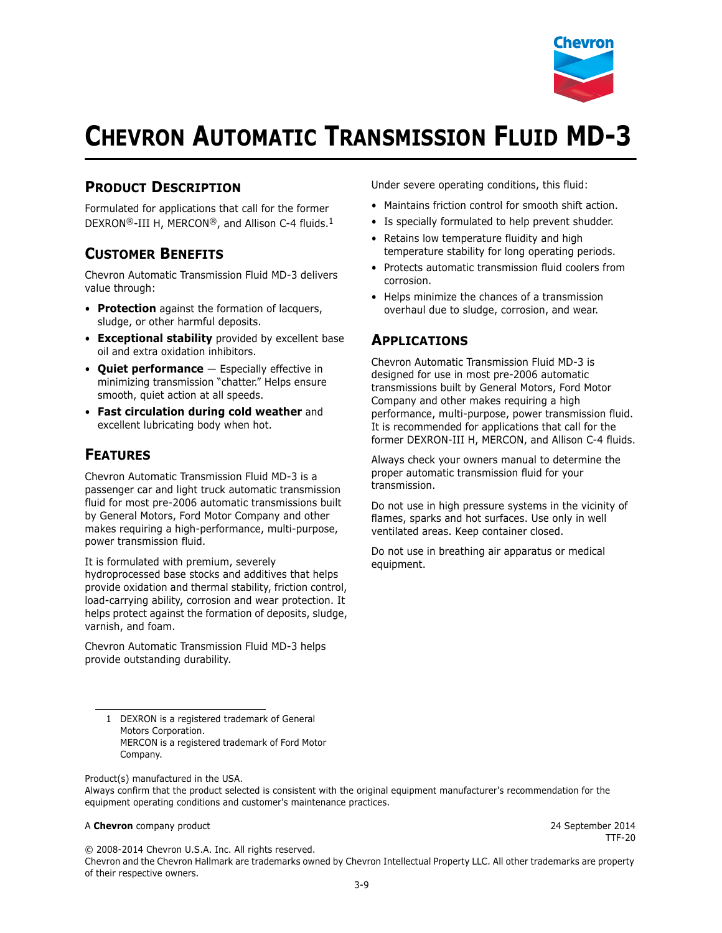

# **CHEVRON AUTOMATIC TRANSMISSION FLUID MD-3**

### **PRODUCT DESCRIPTION**

Formulated for applications that call for the former DEXRON®-III H, MERCON®, and Allison C-4 fluids.<sup>1</sup>

#### **CUSTOMER BENEFITS**

Chevron Automatic Transmission Fluid MD-3 delivers value through:

- **Protection** against the formation of lacquers, sludge, or other harmful deposits.
- **Exceptional stability** provided by excellent base oil and extra oxidation inhibitors.
- **Quiet performance** Especially effective in minimizing transmission "chatter." Helps ensure smooth, quiet action at all speeds.
- **Fast circulation during cold weather** and excellent lubricating body when hot.

#### **FEATURES**

Chevron Automatic Transmission Fluid MD-3 is a passenger car and light truck automatic transmission fluid for most pre-2006 automatic transmissions built by General Motors, Ford Motor Company and other makes requiring a high-performance, multi-purpose, power transmission fluid.

It is formulated with premium, severely hydroprocessed base stocks and additives that helps provide oxidation and thermal stability, friction control, load-carrying ability, corrosion and wear protection. It helps protect against the formation of deposits, sludge, varnish, and foam.

Chevron Automatic Transmission Fluid MD-3 helps provide outstanding durability.

Under severe operating conditions, this fluid:

- Maintains friction control for smooth shift action.
- Is specially formulated to help prevent shudder.
- Retains low temperature fluidity and high temperature stability for long operating periods.
- Protects automatic transmission fluid coolers from corrosion.
- Helps minimize the chances of a transmission overhaul due to sludge, corrosion, and wear.

#### **APPLICATIONS**

Chevron Automatic Transmission Fluid MD-3 is designed for use in most pre-2006 automatic transmissions built by General Motors, Ford Motor Company and other makes requiring a high performance, multi-purpose, power transmission fluid. It is recommended for applications that call for the former DEXRON-III H, MERCON, and Allison C-4 fluids.

Always check your owners manual to determine the proper automatic transmission fluid for your transmission.

Do not use in high pressure systems in the vicinity of flames, sparks and hot surfaces. Use only in well ventilated areas. Keep container closed.

Do not use in breathing air apparatus or medical equipment.

Product(s) manufactured in the USA.

#### A **Chevron** company product **2014** 24 September 2014

TTF-20

© 2008-2014 Chevron U.S.A. Inc. All rights reserved.

Chevron and the Chevron Hallmark are trademarks owned by Chevron Intellectual Property LLC. All other trademarks are property of their respective owners.

<sup>1</sup> DEXRON is a registered trademark of General Motors Corporation. MERCON is a registered trademark of Ford Motor Company.

Always confirm that the product selected is consistent with the original equipment manufacturer's recommendation for the equipment operating conditions and customer's maintenance practices.